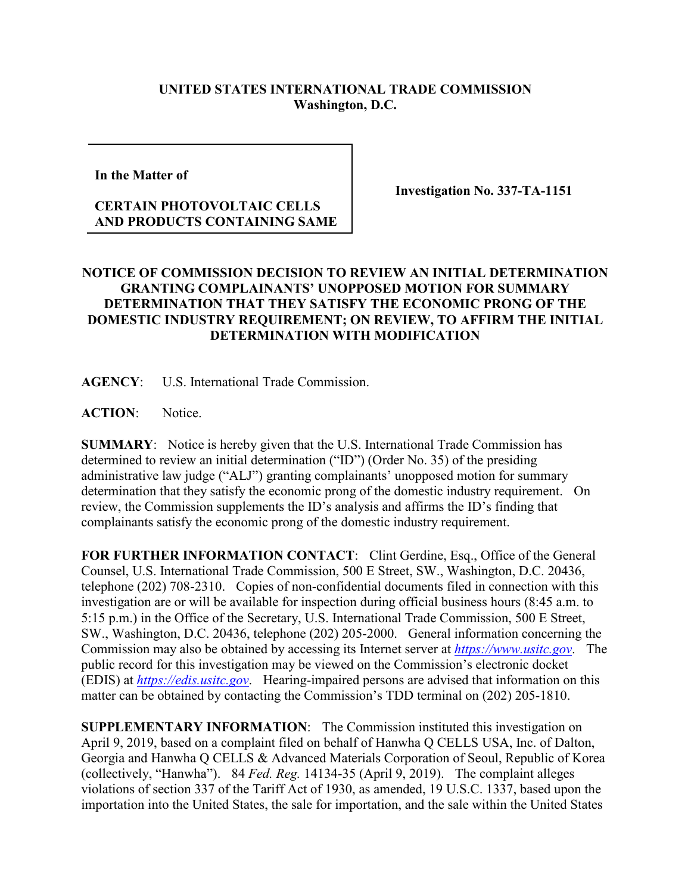## **UNITED STATES INTERNATIONAL TRADE COMMISSION Washington, D.C.**

**In the Matter of** 

## **CERTAIN PHOTOVOLTAIC CELLS AND PRODUCTS CONTAINING SAME**

**Investigation No. 337-TA-1151**

## **NOTICE OF COMMISSION DECISION TO REVIEW AN INITIAL DETERMINATION GRANTING COMPLAINANTS' UNOPPOSED MOTION FOR SUMMARY DETERMINATION THAT THEY SATISFY THE ECONOMIC PRONG OF THE DOMESTIC INDUSTRY REQUIREMENT; ON REVIEW, TO AFFIRM THE INITIAL DETERMINATION WITH MODIFICATION**

**AGENCY**: U.S. International Trade Commission.

**ACTION**: Notice.

**SUMMARY**: Notice is hereby given that the U.S. International Trade Commission has determined to review an initial determination ("ID") (Order No. 35) of the presiding administrative law judge ("ALJ") granting complainants' unopposed motion for summary determination that they satisfy the economic prong of the domestic industry requirement. On review, the Commission supplements the ID's analysis and affirms the ID's finding that complainants satisfy the economic prong of the domestic industry requirement.

FOR FURTHER INFORMATION CONTACT: Clint Gerdine, Esq., Office of the General Counsel, U.S. International Trade Commission, 500 E Street, SW., Washington, D.C. 20436, telephone (202) 708-2310. Copies of non-confidential documents filed in connection with this investigation are or will be available for inspection during official business hours (8:45 a.m. to 5:15 p.m.) in the Office of the Secretary, U.S. International Trade Commission, 500 E Street, SW., Washington, D.C. 20436, telephone (202) 205-2000. General information concerning the Commission may also be obtained by accessing its Internet server at *[https://www.usitc.gov](https://www.usitc.gov/)*. The public record for this investigation may be viewed on the Commission's electronic docket (EDIS) at *[https://edis.usitc.gov](https://edis.usitc.gov/)*. Hearing-impaired persons are advised that information on this matter can be obtained by contacting the Commission's TDD terminal on (202) 205-1810.

**SUPPLEMENTARY INFORMATION**: The Commission instituted this investigation on April 9, 2019, based on a complaint filed on behalf of Hanwha Q CELLS USA, Inc. of Dalton, Georgia and Hanwha Q CELLS & Advanced Materials Corporation of Seoul, Republic of Korea (collectively, "Hanwha"). 84 *Fed. Reg.* 14134-35 (April 9, 2019). The complaint alleges violations of section 337 of the Tariff Act of 1930, as amended, 19 U.S.C. 1337, based upon the importation into the United States, the sale for importation, and the sale within the United States